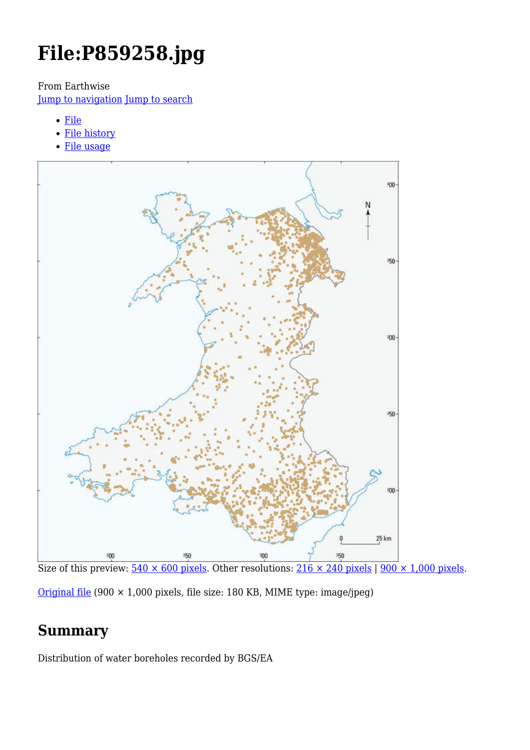# **File:P859258.jpg**

From Earthwise

[Jump to navigation](#page--1-0) [Jump to search](#page--1-0)

- [File](#page--1-0)
- [File history](#page--1-0)
- [File usage](#page--1-0)



Size of this preview:  $540 \times 600$  pixels. Other resolutions:  $216 \times 240$  pixels |  $900 \times 1,000$  pixels.

[Original file](http://earthwise.bgs.ac.uk/images/3/3f/P859258.jpg) (900 × 1,000 pixels, file size: 180 KB, MIME type: image/jpeg)

# **Summary**

Distribution of water boreholes recorded by BGS/EA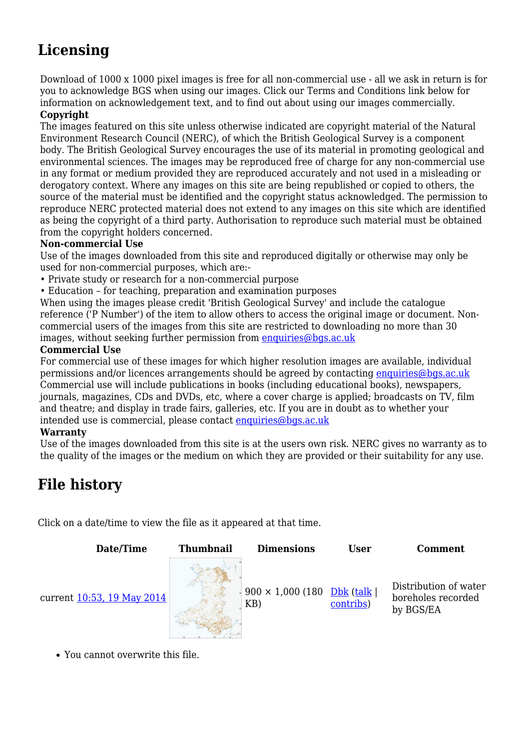# **Licensing**

Download of 1000 x 1000 pixel images is free for all non-commercial use - all we ask in return is for you to acknowledge BGS when using our images. Click our Terms and Conditions link below for information on acknowledgement text, and to find out about using our images commercially.

#### **Copyright**

The images featured on this site unless otherwise indicated are copyright material of the Natural Environment Research Council (NERC), of which the British Geological Survey is a component body. The British Geological Survey encourages the use of its material in promoting geological and environmental sciences. The images may be reproduced free of charge for any non-commercial use in any format or medium provided they are reproduced accurately and not used in a misleading or derogatory context. Where any images on this site are being republished or copied to others, the source of the material must be identified and the copyright status acknowledged. The permission to reproduce NERC protected material does not extend to any images on this site which are identified as being the copyright of a third party. Authorisation to reproduce such material must be obtained from the copyright holders concerned.

#### **Non-commercial Use**

Use of the images downloaded from this site and reproduced digitally or otherwise may only be used for non-commercial purposes, which are:-

- Private study or research for a non-commercial purpose
- Education for teaching, preparation and examination purposes

When using the images please credit 'British Geological Survey' and include the catalogue reference ('P Number') of the item to allow others to access the original image or document. Noncommercial users of the images from this site are restricted to downloading no more than 30 images, without seeking further permission from [enquiries@bgs.ac.uk](mailto:enquiries@bgs.ac.uk)

#### **Commercial Use**

For commercial use of these images for which higher resolution images are available, individual permissions and/or licences arrangements should be agreed by contacting [enquiries@bgs.ac.uk](mailto:enquiries@bgs.ac.uk) Commercial use will include publications in books (including educational books), newspapers, journals, magazines, CDs and DVDs, etc, where a cover charge is applied; broadcasts on TV, film and theatre; and display in trade fairs, galleries, etc. If you are in doubt as to whether your intended use is commercial, please contact [enquiries@bgs.ac.uk](mailto:enquiries@bgs.ac.uk)

#### **Warranty**

Use of the images downloaded from this site is at the users own risk. NERC gives no warranty as to the quality of the images or the medium on which they are provided or their suitability for any use.

# **File history**

Click on a date/time to view the file as it appeared at that time.



You cannot overwrite this file.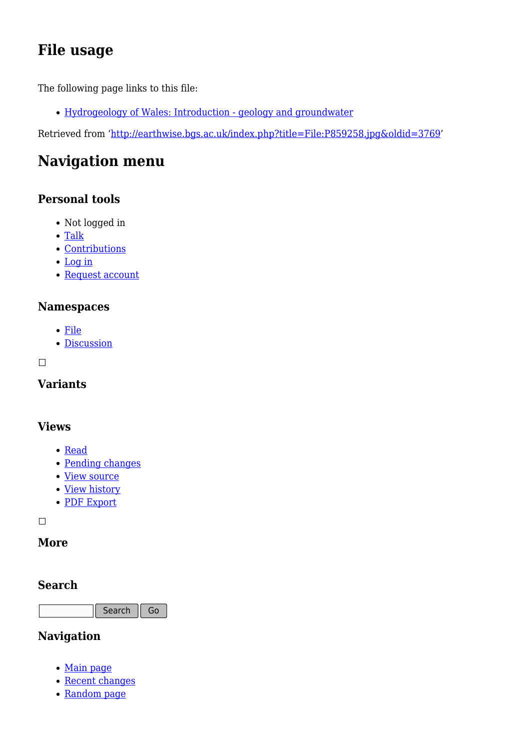# **File usage**

The following page links to this file:

[Hydrogeology of Wales: Introduction - geology and groundwater](http://earthwise.bgs.ac.uk/index.php/Hydrogeology_of_Wales:_Introduction_-_geology_and_groundwater)

Retrieved from ['http://earthwise.bgs.ac.uk/index.php?title=File:P859258.jpg&oldid=3769](http://earthwise.bgs.ac.uk/index.php?title=File:P859258.jpg&oldid=3769)'

# **Navigation menu**

### **Personal tools**

- Not logged in
- [Talk](http://earthwise.bgs.ac.uk/index.php/Special:MyTalk)
- [Contributions](http://earthwise.bgs.ac.uk/index.php/Special:MyContributions)
- [Log in](http://earthwise.bgs.ac.uk/index.php?title=Special:UserLogin&returnto=File%3AP859258.jpg&returntoquery=action%3Dmpdf)
- [Request account](http://earthwise.bgs.ac.uk/index.php/Special:RequestAccount)

### **Namespaces**

- [File](http://earthwise.bgs.ac.uk/index.php/File:P859258.jpg)
- [Discussion](http://earthwise.bgs.ac.uk/index.php?title=File_talk:P859258.jpg&action=edit&redlink=1)

 $\Box$ 

### **Variants**

#### **Views**

- [Read](http://earthwise.bgs.ac.uk/index.php?title=File:P859258.jpg&stable=1)
- [Pending changes](http://earthwise.bgs.ac.uk/index.php?title=File:P859258.jpg&stable=0&redirect=no)
- [View source](http://earthwise.bgs.ac.uk/index.php?title=File:P859258.jpg&action=edit)
- [View history](http://earthwise.bgs.ac.uk/index.php?title=File:P859258.jpg&action=history)
- [PDF Export](http://earthwise.bgs.ac.uk/index.php?title=File:P859258.jpg&action=mpdf)

 $\Box$ 

### **More**

### **Search**

Search Go

### **Navigation**

- [Main page](http://earthwise.bgs.ac.uk/index.php/Main_Page)
- [Recent changes](http://earthwise.bgs.ac.uk/index.php/Special:RecentChanges)
- [Random page](http://earthwise.bgs.ac.uk/index.php/Special:Random)